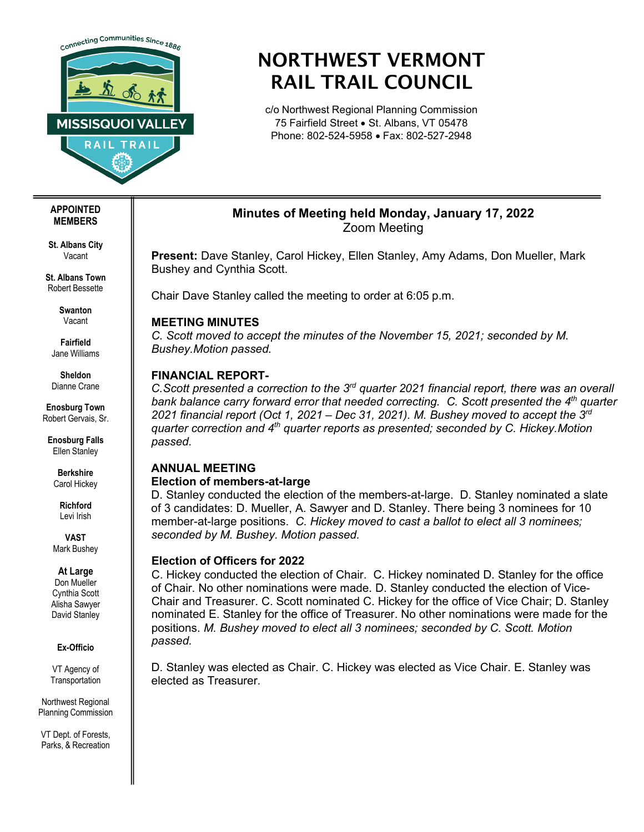

# NORTHWEST VERMONT RAIL TRAIL COUNCIL

c/o Northwest Regional Planning Commission 75 Fairfield Street • St. Albans, VT 05478 Phone: 802-524-5958 • Fax: 802-527-2948

# **Minutes of Meeting held Monday, January 17, 2022** Zoom Meeting

**Present:** Dave Stanley, Carol Hickey, Ellen Stanley, Amy Adams, Don Mueller, Mark Bushey and Cynthia Scott.

Chair Dave Stanley called the meeting to order at 6:05 p.m.

# **MEETING MINUTES**

*C. Scott moved to accept the minutes of the November 15, 2021; seconded by M. Bushey.Motion passed.*

# **FINANCIAL REPORT-**

*C.Scott presented a correction to the 3rd quarter 2021 financial report, there was an overall bank balance carry forward error that needed correcting. C. Scott presented the 4th quarter 2021 financial report (Oct 1, 2021 – Dec 31, 2021). M. Bushey moved to accept the 3rd quarter correction and 4th quarter reports as presented; seconded by C. Hickey.Motion passed.*

#### **ANNUAL MEETING Election of members-at-large**

D. Stanley conducted the election of the members-at-large. D. Stanley nominated a slate of 3 candidates: D. Mueller, A. Sawyer and D. Stanley. There being 3 nominees for 10 member-at-large positions. *C. Hickey moved to cast a ballot to elect all 3 nominees; seconded by M. Bushey. Motion passed.*

## **Election of Officers for 2022**

C. Hickey conducted the election of Chair. C. Hickey nominated D. Stanley for the office of Chair. No other nominations were made. D. Stanley conducted the election of Vice-Chair and Treasurer. C. Scott nominated C. Hickey for the office of Vice Chair; D. Stanley nominated E. Stanley for the office of Treasurer. No other nominations were made for the positions. *M. Bushey moved to elect all 3 nominees; seconded by C. Scott. Motion passed.*

D. Stanley was elected as Chair. C. Hickey was elected as Vice Chair. E. Stanley was elected as Treasurer.

#### **APPOINTED MEMBERS**

**St. Albans City** Vacant

**St. Albans Town** Robert Bessette

> **Swanton** Vacant

**Fairfield** Jane Williams

**Sheldon** Dianne Crane

**Enosburg Town** Robert Gervais, Sr.

**Enosburg Falls** Ellen Stanley

**Berkshire** Carol Hickey

**Richford** Levi Irish

**VAST** Mark Bushey

#### **At Large**

Don Mueller Cynthia Scott Alisha Sawyer David Stanley

#### **Ex-Officio**

VT Agency of **Transportation** 

Northwest Regional Planning Commission

VT Dept. of Forests, Parks, & Recreation